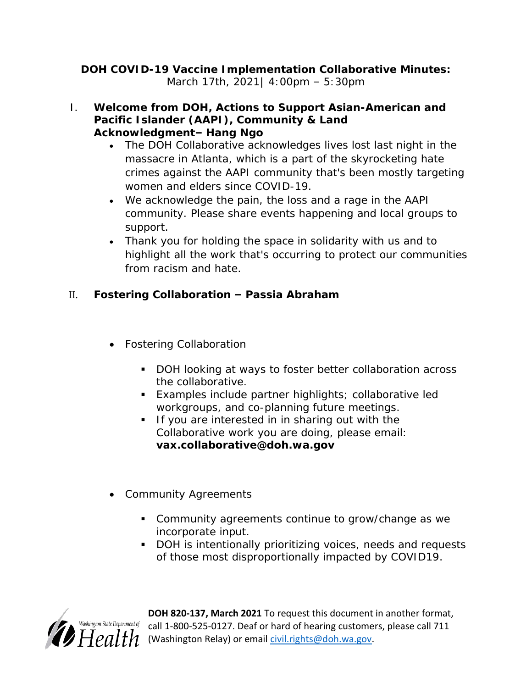**DOH COVID-19 Vaccine Implementation Collaborative Minutes:** March 17th, 2021| 4:00pm – 5:30pm

- I. **Welcome from DOH, Actions to Support Asian-American and Pacific Islander (AAPI), Community & Land Acknowledgment– Hang Ngo** 
	- The DOH Collaborative acknowledges lives lost last night in the massacre in Atlanta, which is a part of the skyrocketing hate crimes against the AAPI community that's been mostly targeting women and elders since COVID-19.
	- We acknowledge the pain, the loss and a rage in the AAPI community. Please share events happening and local groups to support.
	- Thank you for holding the space in solidarity with us and to highlight all the work that's occurring to protect our communities from racism and hate.
- II. **Fostering Collaboration – Passia Abraham**
	- Fostering Collaboration
		- DOH looking at ways to foster better collaboration across the collaborative.
		- Examples include partner highlights; collaborative led workgroups, and co-planning future meetings.
		- If you are interested in in sharing out with the Collaborative work you are doing, please email: **vax.collaborative@doh.wa.gov**
	- Community Agreements
		- **Community agreements continue to grow/change as we** incorporate input.
		- DOH is intentionally prioritizing voices, needs and requests of those most disproportionally impacted by COVID19.



**DOH 820-137, March 2021** To request this document in another format,  $\frac{hington\ State\ Department\ of}{d}$  call 1-800-525-0127. Deaf or hard of hearing customers, please call 711 (Washington Relay) or email [civil.rights@doh.wa.gov.](mailto:civil.rights@doh.wa.gov)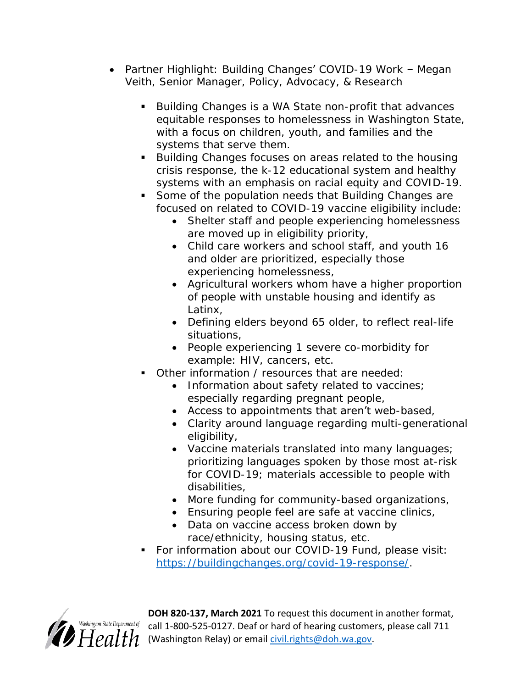- Partner Highlight: Building Changes' COVID-19 Work Megan Veith, Senior Manager, Policy, Advocacy, & Research
	- Building Changes is a WA State non-profit that advances equitable responses to homelessness in Washington State, with a focus on children, youth, and families and the systems that serve them.
	- Building Changes focuses on areas related to the housing crisis response, the k-12 educational system and healthy systems with an emphasis on racial equity and COVID-19.
	- Some of the population needs that Building Changes are focused on related to COVID-19 vaccine eligibility include:
		- Shelter staff and people experiencing homelessness are moved up in eligibility priority,
		- Child care workers and school staff, and youth 16 and older are prioritized, especially those experiencing homelessness,
		- Agricultural workers whom have a higher proportion of people with unstable housing and identify as Latinx,
		- Defining elders beyond 65 older, to reflect real-life situations,
		- People experiencing 1 *severe* co-morbidity for example: HIV, cancers, etc.
	- Other information / resources that are needed:
		- Information about safety related to vaccines; especially regarding pregnant people,
		- Access to appointments that aren't web-based,
		- Clarity around language regarding multi-generational eligibility,
		- Vaccine materials translated into many languages; prioritizing languages spoken by those most at-risk for COVID-19; materials accessible to people with disabilities,
		- More funding for community-based organizations,
		- **Ensuring people feel are safe at vaccine clinics,**
		- Data on vaccine access broken down by race/ethnicity, housing status, etc.
	- For information about our COVID-19 Fund, please visit: [https://buildingchanges.org/covid-19-response/.](https://buildingchanges.org/covid-19-response/)



**DOH 820-137, March 2021** To request this document in another format, ishington State Department of call 1-800-525-0127. Deaf or hard of hearing customers, please call 711  $H$  $e$ alth (Washington Relay) or email [civil.rights@doh.wa.gov.](mailto:civil.rights@doh.wa.gov)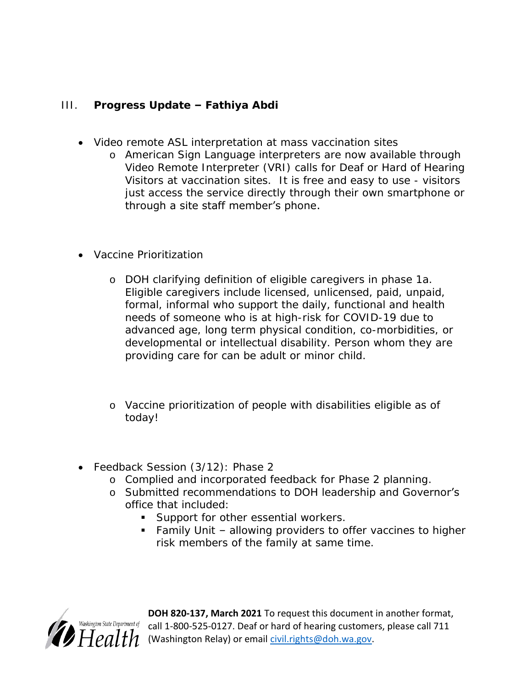- III. **Progress Update – Fathiya Abdi**
	- Video remote ASL interpretation at mass vaccination sites
		- o American Sign Language interpreters are now available through Video Remote Interpreter (VRI) calls for Deaf or Hard of Hearing Visitors at vaccination sites. It is free and easy to use - visitors just access the service directly through their own smartphone or through a site staff member's phone.
	- Vaccine Prioritization
		- o DOH clarifying definition of eligible caregivers in phase 1a. Eligible caregivers include licensed, unlicensed, paid, unpaid, formal, informal who support the daily, functional and health needs of someone who is at high-risk for COVID-19 due to advanced age, long term physical condition, co-morbidities, or developmental or intellectual disability. Person whom they are providing care for can be adult or minor child.
		- o Vaccine prioritization of people with disabilities eligible as of today!
	- Feedback Session (3/12): Phase 2
		- o Complied and incorporated feedback for Phase 2 planning.
		- o Submitted recommendations to DOH leadership and Governor's office that included:
			- Support for other essential workers.
			- Family Unit allowing providers to offer vaccines to higher risk members of the family at same time.



**DOH 820-137, March 2021** To request this document in another format,  $s$ hington State Department of call 1-800-525-0127. Deaf or hard of hearing customers, please call 711 (Washington Relay) or email [civil.rights@doh.wa.gov.](mailto:civil.rights@doh.wa.gov)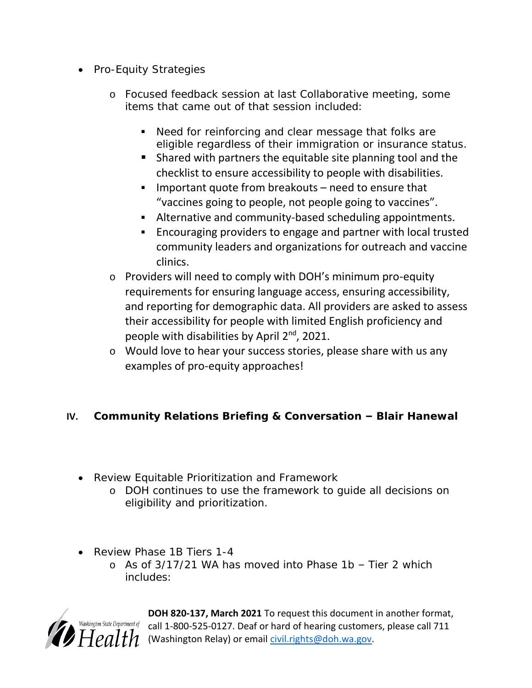- Pro-Equity Strategies
	- o Focused feedback session at last Collaborative meeting, some items that came out of that session included:
		- **Need for reinforcing and clear message that folks are** eligible regardless of their immigration or insurance status.
		- Shared with partners the equitable site planning tool and the checklist to ensure accessibility to people with disabilities.
		- Important quote from breakouts need to ensure that "vaccines going to people, not people going to vaccines".
		- Alternative and community-based scheduling appointments.
		- Encouraging providers to engage and partner with local trusted community leaders and organizations for outreach and vaccine clinics.
	- o Providers will need to comply with DOH's minimum pro-equity requirements for ensuring language access, ensuring accessibility, and reporting for demographic data. All providers are asked to assess their accessibility for people with limited English proficiency and people with disabilities by April 2<sup>nd</sup>, 2021.
	- o Would love to hear your success stories, please share with us any examples of pro-equity approaches!
- **IV.** Community Relations Briefing & Conversation **–** Blair Hanewal
	- Review Equitable Prioritization and Framework
		- o DOH continues to use the framework to guide all decisions on eligibility and prioritization.
	- Review Phase 1B Tiers 1-4
		- o As of 3/17/21 WA has moved into Phase 1b Tier 2 which includes:



**DOH 820-137, March 2021** To request this document in another format, call 1-800-525-0127. Deaf or hard of hearing customers, please call 711 (Washington Relay) or email [civil.rights@doh.wa.gov.](mailto:civil.rights@doh.wa.gov)